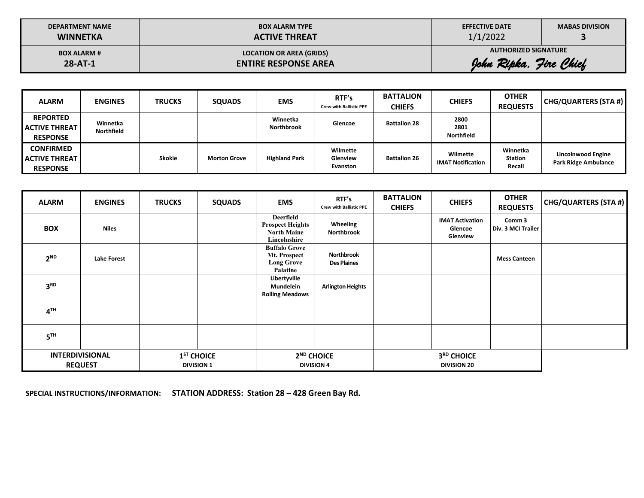| <b>DEPARTMENT NAME</b> | <b>BOX ALARM TYPE</b>           | <b>EFFECTIVE DATE</b>       | <b>MABAS DIVISION</b> |
|------------------------|---------------------------------|-----------------------------|-----------------------|
| <b>WINNETKA</b>        | <b>ACTIVE THREAT</b>            | 1/1/2022                    |                       |
| <b>BOX ALARM #</b>     | <b>LOCATION OR AREA (GRIDS)</b> | <b>AUTHORIZED SIGNATURE</b> |                       |
| $28 - AT - 1$          | <b>ENTIRE RESPONSE AREA</b>     | John Ripka, Jire Chief      |                       |

| <b>ALARM</b>                                                 | <b>ENGINES</b>         | <b>TRUCKS</b> | <b>SQUADS</b>       | <b>EMS</b>                    | RTF's<br><b>Crew with Ballistic PPE</b> | <b>BATTALION</b><br><b>CHIEFS</b> | <b>CHIEFS</b>                        | <b>OTHER</b><br><b>REQUESTS</b>      | CHG/QUARTERS (STA #)                                     |
|--------------------------------------------------------------|------------------------|---------------|---------------------|-------------------------------|-----------------------------------------|-----------------------------------|--------------------------------------|--------------------------------------|----------------------------------------------------------|
| <b>REPORTED</b><br><b>ACTIVE THREAT</b><br><b>RESPONSE</b>   | Winnetka<br>Northfield |               |                     | Winnetka<br><b>Northbrook</b> | Glencoe                                 | <b>Battalion 28</b>               | 2800<br>2801<br><b>Northfield</b>    |                                      |                                                          |
| <b>CONFIRMED</b><br><b>LACTIVE THREAT</b><br><b>RESPONSE</b> |                        | <b>Skokie</b> | <b>Morton Grove</b> | <b>Highland Park</b>          | Wilmette<br>Glenview<br>Evanston        | <b>Battalion 26</b>               | Wilmette<br><b>IMAT Notification</b> | Winnetka<br><b>Station</b><br>Recall | <b>Lincolnwood Engine</b><br><b>Park Ridge Ambulance</b> |

 $\overline{a}$ 

| <b>ALARM</b>    | <b>ENGINES</b>                           | <b>TRUCKS</b> | <b>SQUADS</b>                     | <b>EMS</b>                                                                 | RTF's<br><b>Crew with Ballistic PPE</b>     | <b>BATTALION</b><br><b>CHIEFS</b> | <b>CHIEFS</b>                                 | <b>OTHER</b><br><b>REQUESTS</b> | CHG/QUARTERS (STA #) |
|-----------------|------------------------------------------|---------------|-----------------------------------|----------------------------------------------------------------------------|---------------------------------------------|-----------------------------------|-----------------------------------------------|---------------------------------|----------------------|
| <b>BOX</b>      | <b>Niles</b>                             |               |                                   | Deerfield<br><b>Prospect Heights</b><br><b>North Maine</b><br>Lincolnshire | Wheeling<br>Northbrook                      |                                   | <b>IMAT Activation</b><br>Glencoe<br>Glenview | Comm 3<br>Div. 3 MCI Trailer    |                      |
| $2^{ND}$        | <b>Lake Forest</b>                       |               |                                   | <b>Buffalo Grove</b><br>Mt. Prospect<br><b>Long Grove</b><br>Palatine      | <b>Northbrook</b><br><b>Des Plaines</b>     |                                   |                                               | <b>Mess Canteen</b>             |                      |
| 3 <sup>RD</sup> |                                          |               |                                   | Libertyville<br>Mundelein<br><b>Rolling Meadows</b>                        | <b>Arlington Heights</b>                    |                                   |                                               |                                 |                      |
| 4 <sup>TH</sup> |                                          |               |                                   |                                                                            |                                             |                                   |                                               |                                 |                      |
| 5 <sup>TH</sup> |                                          |               |                                   |                                                                            |                                             |                                   |                                               |                                 |                      |
|                 | <b>INTERDIVISIONAL</b><br><b>REQUEST</b> |               | $1ST$ CHOICE<br><b>DIVISION 1</b> |                                                                            | 2 <sup>ND</sup> CHOICE<br><b>DIVISION 4</b> |                                   | 3RD CHOICE<br><b>DIVISION 20</b>              |                                 |                      |

**SPECIAL INSTRUCTIONS/INFORMATION: STATION ADDRESS: Station 28 – 428 Green Bay Rd.**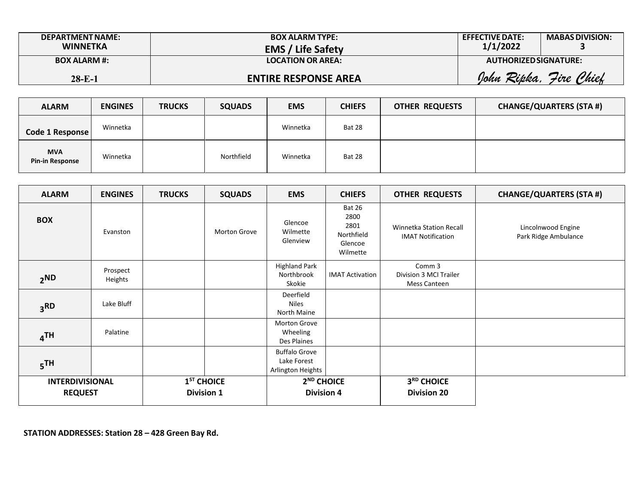| <b>DEPARTMENT NAME:</b><br><b>WINNETKA</b> | <b>BOX ALARM TYPE:</b><br><b>EMS / Life Safety</b> | <b>EFFECTIVE DATE:</b><br>1/1/2022 | <b>MABAS DIVISION:</b> |
|--------------------------------------------|----------------------------------------------------|------------------------------------|------------------------|
| <b>BOX ALARM #:</b>                        | <b>LOCATION OR AREA:</b>                           | AUTHORIZED SIGNATURE:              |                        |
| $28 - E - 1$                               | <b>ENTIRE RESPONSE AREA</b>                        | Iohn<br>Ripka.                     | Chief<br>Fire.         |

| <b>ALARM</b>                         | <b>ENGINES</b> | <b>TRUCKS</b> | <b>SQUADS</b> | <b>EMS</b> | <b>CHIEFS</b> | <b>OTHER REQUESTS</b> | <b>CHANGE/QUARTERS (STA #)</b> |
|--------------------------------------|----------------|---------------|---------------|------------|---------------|-----------------------|--------------------------------|
| Code 1 Response                      | Winnetka       |               |               | Winnetka   | Bat 28        |                       |                                |
| <b>MVA</b><br><b>Pin-in Response</b> | Winnetka       |               | Northfield    | Winnetka   | Bat 28        |                       |                                |

| <b>ALARM</b>                             | <b>ENGINES</b>      | <b>TRUCKS</b> | <b>SQUADS</b>                     | <b>EMS</b>                                               | <b>CHIEFS</b>                                                      | <b>OTHER REQUESTS</b>                                      | <b>CHANGE/QUARTERS (STA #)</b>             |
|------------------------------------------|---------------------|---------------|-----------------------------------|----------------------------------------------------------|--------------------------------------------------------------------|------------------------------------------------------------|--------------------------------------------|
| <b>BOX</b>                               | Evanston            |               | Morton Grove                      | Glencoe<br>Wilmette<br>Glenview                          | <b>Bat 26</b><br>2800<br>2801<br>Northfield<br>Glencoe<br>Wilmette | <b>Winnetka Station Recall</b><br><b>IMAT Notification</b> | Lincolnwood Engine<br>Park Ridge Ambulance |
| 2 <sub>ND</sub>                          | Prospect<br>Heights |               |                                   | <b>Highland Park</b><br>Northbrook<br>Skokie             | <b>IMAT Activation</b>                                             | Comm 3<br>Division 3 MCI Trailer<br><b>Mess Canteen</b>    |                                            |
| 3 <sup>RD</sup>                          | Lake Bluff          |               |                                   | Deerfield<br><b>Niles</b><br>North Maine                 |                                                                    |                                                            |                                            |
| 4 <sup>TH</sup>                          | Palatine            |               |                                   | Morton Grove<br>Wheeling<br>Des Plaines                  |                                                                    |                                                            |                                            |
| 5 <sup>TH</sup>                          |                     |               |                                   | <b>Buffalo Grove</b><br>Lake Forest<br>Arlington Heights |                                                                    |                                                            |                                            |
| <b>INTERDIVISIONAL</b><br><b>REQUEST</b> |                     |               | $1ST$ CHOICE<br><b>Division 1</b> | 2 <sup>ND</sup> CHOICE<br><b>Division 4</b>              |                                                                    | 3RD CHOICE<br><b>Division 20</b>                           |                                            |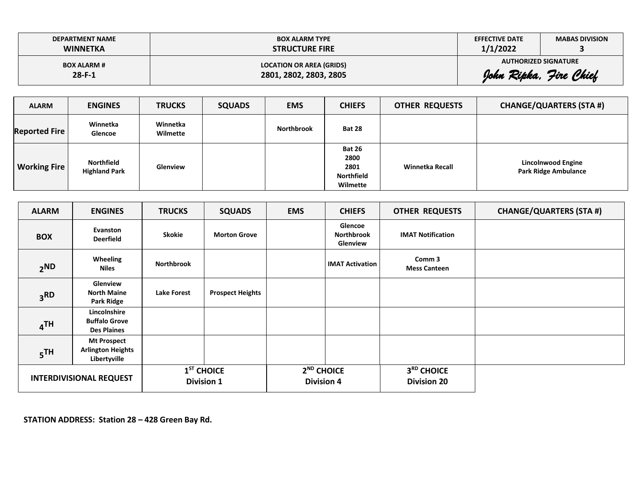| <b>DEPARTMENT NAME</b> | <b>BOX ALARM TYPE</b>           | <b>EFFECTIVE DATE</b> | <b>MABAS DIVISION</b>       |
|------------------------|---------------------------------|-----------------------|-----------------------------|
| <b>WINNETKA</b>        | <b>STRUCTURE FIRE</b>           | 1/1/2022              |                             |
| <b>BOX ALARM #</b>     | <b>LOCATION OR AREA (GRIDS)</b> |                       | <b>AUTHORIZED SIGNATURE</b> |
| $28 - F - 1$           | 2801, 2802, 2803, 2805          |                       | John Ripka, Jire Chief      |

| <b>ALARM</b>         | <b>ENGINES</b>                     | <b>TRUCKS</b>        | <b>SQUADS</b> | <b>EMS</b>        | <b>CHIEFS</b>                                                  | <b>OTHER REQUESTS</b> | <b>CHANGE/QUARTERS (STA #)</b>                           |
|----------------------|------------------------------------|----------------------|---------------|-------------------|----------------------------------------------------------------|-----------------------|----------------------------------------------------------|
| <b>Reported Fire</b> | Winnetka<br>Glencoe                | Winnetka<br>Wilmette |               | <b>Northbrook</b> | <b>Bat 28</b>                                                  |                       |                                                          |
| <b>Working Fire</b>  | Northfield<br><b>Highland Park</b> | Glenview             |               |                   | <b>Bat 26</b><br>2800<br>2801<br><b>Northfield</b><br>Wilmette | Winnetka Recall       | <b>Lincolnwood Engine</b><br><b>Park Ridge Ambulance</b> |

| <b>ALARM</b>                   | <b>ENGINES</b>                                                 | <b>TRUCKS</b>                     | <b>SQUADS</b>           | <b>EMS</b>                        | <b>CHIEFS</b>                            | <b>OTHER REQUESTS</b>                        | <b>CHANGE/QUARTERS (STA #)</b> |
|--------------------------------|----------------------------------------------------------------|-----------------------------------|-------------------------|-----------------------------------|------------------------------------------|----------------------------------------------|--------------------------------|
| <b>BOX</b>                     | Evanston<br><b>Deerfield</b>                                   | Skokie                            | <b>Morton Grove</b>     |                                   | Glencoe<br><b>Northbrook</b><br>Glenview | <b>IMAT Notification</b>                     |                                |
| 2 <sub>ND</sub>                | Wheeling<br>Niles                                              | <b>Northbrook</b>                 |                         |                                   | <b>IMAT Activation</b>                   | Comm 3<br><b>Mess Canteen</b>                |                                |
| 3 <sub>RD</sub>                | Glenview<br><b>North Maine</b><br>Park Ridge                   | <b>Lake Forest</b>                | <b>Prospect Heights</b> |                                   |                                          |                                              |                                |
| 4 <sup>TH</sup>                | Lincolnshire<br><b>Buffalo Grove</b><br><b>Des Plaines</b>     |                                   |                         |                                   |                                          |                                              |                                |
| 5 <sup>TH</sup>                | <b>Mt Prospect</b><br><b>Arlington Heights</b><br>Libertyville |                                   |                         |                                   |                                          |                                              |                                |
| <b>INTERDIVISIONAL REQUEST</b> |                                                                | $1ST$ CHOICE<br><b>Division 1</b> |                         | $2ND$ CHOICE<br><b>Division 4</b> |                                          | 3 <sup>RD</sup> CHOICE<br><b>Division 20</b> |                                |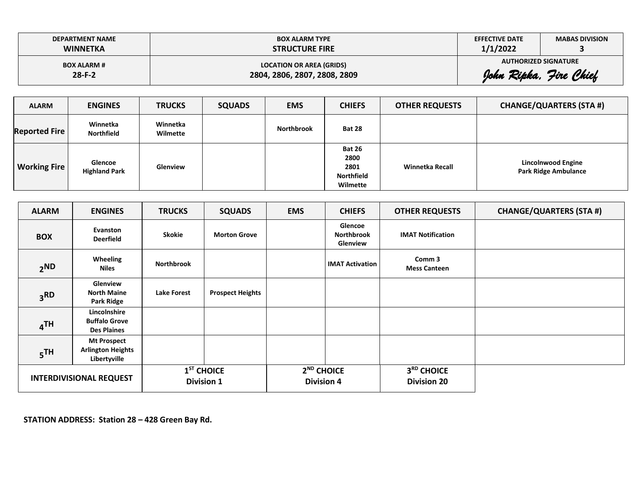| <b>DEPARTMENT NAME</b> | <b>BOX ALARM TYPE</b>           | <b>EFFECTIVE DATE</b> | <b>MABAS DIVISION</b>       |
|------------------------|---------------------------------|-----------------------|-----------------------------|
| <b>WINNETKA</b>        | <b>STRUCTURE FIRE</b>           | 1/1/2022              |                             |
| <b>BOX ALARM #</b>     | <b>LOCATION OR AREA (GRIDS)</b> |                       | <b>AUTHORIZED SIGNATURE</b> |
| $28-F-2$               | 2804, 2806, 2807, 2808, 2809    |                       | John Ripka, Jire Chief      |

| <b>ALARM</b>         | <b>ENGINES</b>                  | <b>TRUCKS</b>        | <b>SQUADS</b> | <b>EMS</b>        | <b>CHIEFS</b>                                                  | <b>OTHER REQUESTS</b> | <b>CHANGE/QUARTERS (STA #)</b>                           |
|----------------------|---------------------------------|----------------------|---------------|-------------------|----------------------------------------------------------------|-----------------------|----------------------------------------------------------|
| <b>Reported Fire</b> | Winnetka<br><b>Northfield</b>   | Winnetka<br>Wilmette |               | <b>Northbrook</b> | <b>Bat 28</b>                                                  |                       |                                                          |
| <b>Working Fire</b>  | Glencoe<br><b>Highland Park</b> | Glenview             |               |                   | <b>Bat 26</b><br>2800<br>2801<br><b>Northfield</b><br>Wilmette | Winnetka Recall       | <b>Lincolnwood Engine</b><br><b>Park Ridge Ambulance</b> |

| <b>ALARM</b>                   | <b>ENGINES</b>                                                 | <b>TRUCKS</b>                     | <b>SQUADS</b>           | <b>EMS</b>                        | <b>CHIEFS</b>                            | <b>OTHER REQUESTS</b>                        | <b>CHANGE/QUARTERS (STA #)</b> |
|--------------------------------|----------------------------------------------------------------|-----------------------------------|-------------------------|-----------------------------------|------------------------------------------|----------------------------------------------|--------------------------------|
| <b>BOX</b>                     | Evanston<br><b>Deerfield</b>                                   | Skokie                            | <b>Morton Grove</b>     |                                   | Glencoe<br><b>Northbrook</b><br>Glenview | <b>IMAT Notification</b>                     |                                |
| 2 <sub>ND</sub>                | Wheeling<br>Niles                                              | <b>Northbrook</b>                 |                         |                                   | <b>IMAT Activation</b>                   | Comm 3<br><b>Mess Canteen</b>                |                                |
| 3 <sub>RD</sub>                | Glenview<br><b>North Maine</b><br>Park Ridge                   | <b>Lake Forest</b>                | <b>Prospect Heights</b> |                                   |                                          |                                              |                                |
| 4 <sup>TH</sup>                | Lincolnshire<br><b>Buffalo Grove</b><br><b>Des Plaines</b>     |                                   |                         |                                   |                                          |                                              |                                |
| 5 <sup>TH</sup>                | <b>Mt Prospect</b><br><b>Arlington Heights</b><br>Libertyville |                                   |                         |                                   |                                          |                                              |                                |
| <b>INTERDIVISIONAL REQUEST</b> |                                                                | $1ST$ CHOICE<br><b>Division 1</b> |                         | $2ND$ CHOICE<br><b>Division 4</b> |                                          | 3 <sup>RD</sup> CHOICE<br><b>Division 20</b> |                                |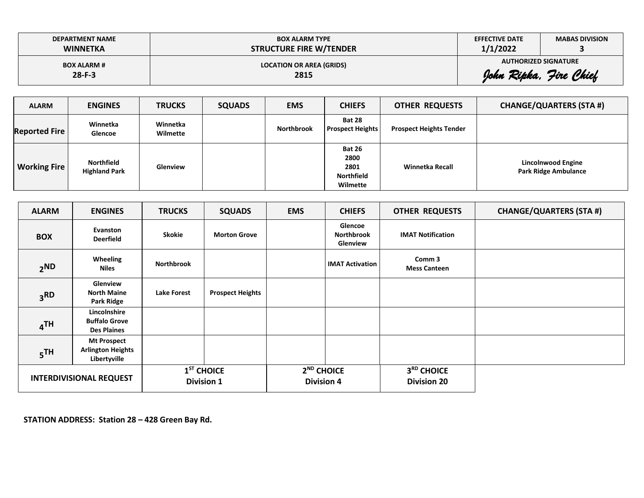| <b>DEPARTMENT NAME</b> | <b>BOX ALARM TYPE</b>           | <b>EFFECTIVE DATE</b> | <b>MABAS DIVISION</b>       |
|------------------------|---------------------------------|-----------------------|-----------------------------|
| <b>WINNETKA</b>        | <b>STRUCTURE FIRE W/TENDER</b>  | 1/1/2022              |                             |
| <b>BOX ALARM #</b>     | <b>LOCATION OR AREA (GRIDS)</b> |                       | <b>AUTHORIZED SIGNATURE</b> |
| $28-F-3$               | 2815                            |                       | John Ripka, Jire Chief      |

| <b>ALARM</b>         | <b>ENGINES</b>                     | <b>TRUCKS</b>        | <b>SQUADS</b> | <b>EMS</b>        | <b>CHIEFS</b>                                                  | <b>OTHER REQUESTS</b>          | <b>CHANGE/QUARTERS (STA #)</b>                    |
|----------------------|------------------------------------|----------------------|---------------|-------------------|----------------------------------------------------------------|--------------------------------|---------------------------------------------------|
| <b>Reported Fire</b> | Winnetka<br>Glencoe                | Winnetka<br>Wilmette |               | <b>Northbrook</b> | <b>Bat 28</b><br><b>Prospect Heights</b>                       | <b>Prospect Heights Tender</b> |                                                   |
| <b>Working Fire</b>  | Northfield<br><b>Highland Park</b> | Glenview             |               |                   | <b>Bat 26</b><br>2800<br>2801<br><b>Northfield</b><br>Wilmette | Winnetka Recall                | Lincolnwood Engine<br><b>Park Ridge Ambulance</b> |

| <b>ALARM</b>                                                                      | <b>ENGINES</b>                                             | <b>TRUCKS</b>                     | <b>SQUADS</b>           | <b>EMS</b>                                  | <b>CHIEFS</b>                            | <b>OTHER REQUESTS</b>                        | <b>CHANGE/QUARTERS (STA #)</b> |
|-----------------------------------------------------------------------------------|------------------------------------------------------------|-----------------------------------|-------------------------|---------------------------------------------|------------------------------------------|----------------------------------------------|--------------------------------|
| <b>BOX</b>                                                                        | Evanston<br><b>Deerfield</b>                               | <b>Skokie</b>                     | <b>Morton Grove</b>     |                                             | Glencoe<br><b>Northbrook</b><br>Glenview | <b>IMAT Notification</b>                     |                                |
| Wheeling<br>2 <sub>ND</sub><br>Niles                                              |                                                            | <b>Northbrook</b>                 |                         |                                             | <b>IMAT Activation</b>                   | Comm <sub>3</sub><br><b>Mess Canteen</b>     |                                |
| 3 <sub>RD</sub>                                                                   | Glenview<br><b>North Maine</b><br>Park Ridge               | <b>Lake Forest</b>                | <b>Prospect Heights</b> |                                             |                                          |                                              |                                |
| 4 <sup>TH</sup>                                                                   | Lincolnshire<br><b>Buffalo Grove</b><br><b>Des Plaines</b> |                                   |                         |                                             |                                          |                                              |                                |
| <b>Mt Prospect</b><br><b>Arlington Heights</b><br>5 <sup>TH</sup><br>Libertyville |                                                            |                                   |                         |                                             |                                          |                                              |                                |
| <b>INTERDIVISIONAL REQUEST</b>                                                    |                                                            | $1ST$ CHOICE<br><b>Division 1</b> |                         | 2 <sup>ND</sup> CHOICE<br><b>Division 4</b> |                                          | 3 <sup>RD</sup> CHOICE<br><b>Division 20</b> |                                |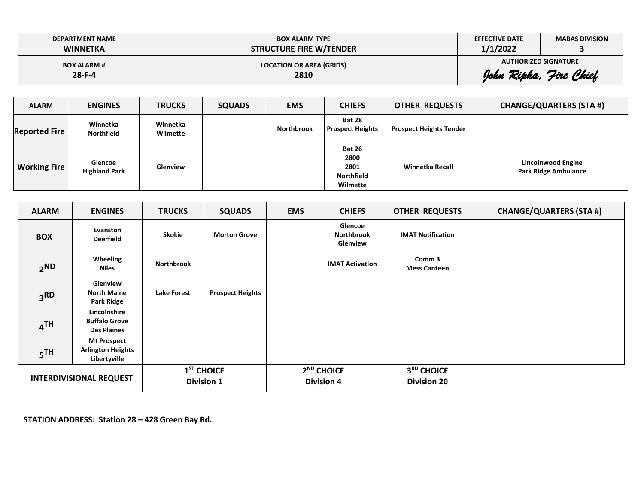| <b>DEPARTMENT NAME</b> | <b>BOX ALARM TYPE</b>           | <b>EFFECTIVE DATE</b> | <b>MABAS DIVISION</b>       |
|------------------------|---------------------------------|-----------------------|-----------------------------|
| <b>WINNETKA</b>        | <b>STRUCTURE FIRE W/TENDER</b>  | 1/1/2022              |                             |
| <b>BOX ALARM #</b>     | <b>LOCATION OR AREA (GRIDS)</b> |                       | <b>AUTHORIZED SIGNATURE</b> |
| $28 - F - 4$           | 2810                            |                       | John Ripka, Jire Chief      |

| <b>ALARM</b>         | <b>ENGINES</b>                  | <b>TRUCKS</b>        | <b>SQUADS</b> | <b>EMS</b>        | <b>CHIEFS</b>                                                  | <b>OTHER REQUESTS</b>          | <b>CHANGE/QUARTERS (STA #)</b>                    |
|----------------------|---------------------------------|----------------------|---------------|-------------------|----------------------------------------------------------------|--------------------------------|---------------------------------------------------|
| <b>Reported Fire</b> | Winnetka<br><b>Northfield</b>   | Winnetka<br>Wilmette |               | <b>Northbrook</b> | <b>Bat 28</b><br><b>Prospect Heights</b>                       | <b>Prospect Heights Tender</b> |                                                   |
| <b>Working Fire</b>  | Glencoe<br><b>Highland Park</b> | Glenview             |               |                   | <b>Bat 26</b><br>2800<br>2801<br><b>Northfield</b><br>Wilmette | Winnetka Recall                | Lincolnwood Engine<br><b>Park Ridge Ambulance</b> |

| <b>ALARM</b>                   | <b>ENGINES</b>                                                 | <b>TRUCKS</b>                        | <b>SQUADS</b>           | <b>EMS</b>                        | <b>CHIEFS</b>                            | <b>OTHER REQUESTS</b>                        | <b>CHANGE/QUARTERS (STA #)</b> |
|--------------------------------|----------------------------------------------------------------|--------------------------------------|-------------------------|-----------------------------------|------------------------------------------|----------------------------------------------|--------------------------------|
| <b>BOX</b>                     | Evanston<br><b>Deerfield</b>                                   | <b>Skokie</b><br><b>Morton Grove</b> |                         |                                   | Glencoe<br><b>Northbrook</b><br>Glenview | <b>IMAT Notification</b>                     |                                |
| 2 <sub>ND</sub>                | Wheeling<br>Niles                                              |                                      |                         |                                   | <b>IMAT Activation</b>                   | Comm <sub>3</sub><br><b>Mess Canteen</b>     |                                |
| 3 <sub>RD</sub>                | Glenview<br><b>North Maine</b><br>Park Ridge                   | <b>Lake Forest</b>                   | <b>Prospect Heights</b> |                                   |                                          |                                              |                                |
| 4 <sup>TH</sup>                | Lincolnshire<br><b>Buffalo Grove</b><br><b>Des Plaines</b>     |                                      |                         |                                   |                                          |                                              |                                |
| 5 <sup>TH</sup>                | <b>Mt Prospect</b><br><b>Arlington Heights</b><br>Libertyville |                                      |                         |                                   |                                          |                                              |                                |
| <b>INTERDIVISIONAL REQUEST</b> |                                                                | $1ST$ CHOICE<br><b>Division 1</b>    |                         | $2ND$ CHOICE<br><b>Division 4</b> |                                          | 3 <sup>RD</sup> CHOICE<br><b>Division 20</b> |                                |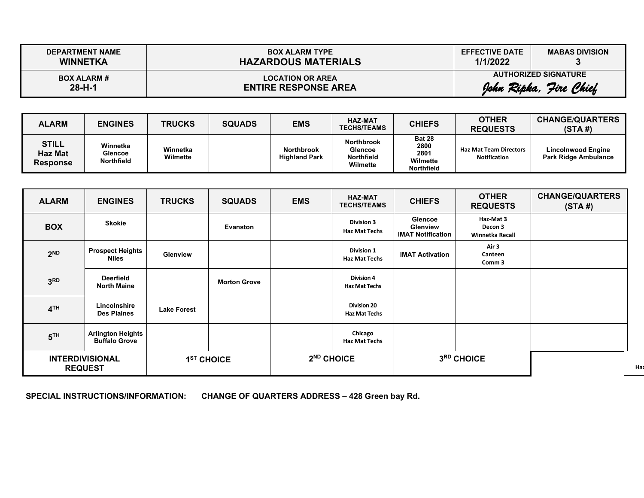| <b>DEPARTMENT NAME</b> | <b>BOX ALARM TYPE</b>       | <b>EFFECTIVE DATE</b> | <b>MABAS DIVISION</b>       |
|------------------------|-----------------------------|-----------------------|-----------------------------|
| <b>WINNETKA</b>        | <b>HAZARDOUS MATERIALS</b>  | 1/1/2022              |                             |
| <b>BOX ALARM #</b>     | <b>LOCATION OR AREA</b>     |                       | <b>AUTHORIZED SIGNATURE</b> |
| $28 - H - 1$           | <b>ENTIRE RESPONSE AREA</b> |                       | John Ripka, Jire Chief      |

| <b>ALARM</b>                               | <b>ENGINES</b>                           | <b>TRUCKS</b>        | <b>SQUADS</b> | <b>EMS</b>                                | <b>HAZ-MAT</b><br><b>TECHS/TEAMS</b>                                 | <b>CHIEFS</b>                                                  | <b>OTHER</b><br><b>REQUESTS</b>                      | <b>CHANGE/QUARTERS</b><br>(STA#)                         |
|--------------------------------------------|------------------------------------------|----------------------|---------------|-------------------------------------------|----------------------------------------------------------------------|----------------------------------------------------------------|------------------------------------------------------|----------------------------------------------------------|
| <b>STILL</b><br>Haz Mat<br><b>Response</b> | Winnetka<br>Glencoe<br><b>Northfield</b> | Winnetka<br>Wilmette |               | <b>Northbrook</b><br><b>Highland Park</b> | <b>Northbrook</b><br><b>Glencoe</b><br><b>Northfield</b><br>Wilmette | <b>Bat 28</b><br>2800<br>2801<br>Wilmette<br><b>Northfield</b> | <b>Haz Mat Team Directors</b><br><b>Notification</b> | <b>Lincolnwood Engine</b><br><b>Park Ridge Ambulance</b> |

| <b>ALARM</b>    | <b>ENGINES</b>                                   | <b>TRUCKS</b>      | <b>SQUADS</b>          | <b>EMS</b> | <b>HAZ-MAT</b><br><b>TECHS/TEAMS</b>       | <b>CHIEFS</b>                                          | <b>OTHER</b><br><b>REQUESTS</b>         | <b>CHANGE/QUARTERS</b><br>(STA#) |
|-----------------|--------------------------------------------------|--------------------|------------------------|------------|--------------------------------------------|--------------------------------------------------------|-----------------------------------------|----------------------------------|
| <b>BOX</b>      | <b>Skokie</b>                                    |                    | Evanston               |            | <b>Division 3</b><br><b>Haz Mat Techs</b>  | <b>Glencoe</b><br>Glenview<br><b>IMAT Notification</b> | Haz-Mat 3<br>Decon 3<br>Winnetka Recall |                                  |
| 2 <sub>ND</sub> | <b>Prospect Heights</b><br>Niles                 | <b>Glenview</b>    |                        |            | <b>Division 1</b><br><b>Haz Mat Techs</b>  | <b>IMAT Activation</b>                                 | Air 3<br>Canteen<br>Comm 3              |                                  |
| 3 <sup>RD</sup> | <b>Deerfield</b><br><b>North Maine</b>           |                    | <b>Morton Grove</b>    |            | <b>Division 4</b><br><b>Haz Mat Techs</b>  |                                                        |                                         |                                  |
| 4 <sup>TH</sup> | Lincolnshire<br><b>Des Plaines</b>               | <b>Lake Forest</b> |                        |            | <b>Division 20</b><br><b>Haz Mat Techs</b> |                                                        |                                         |                                  |
| 5 <sup>TH</sup> | <b>Arlington Heights</b><br><b>Buffalo Grove</b> |                    |                        |            | Chicago<br><b>Haz Mat Techs</b>            |                                                        |                                         |                                  |
|                 | <b>INTERDIVISIONAL</b><br><b>REQUEST</b>         |                    | 1 <sup>ST</sup> CHOICE |            | 2 <sup>ND</sup> CHOICE                     | 3RD CHOICE                                             |                                         |                                  |

**SPECIAL INSTRUCTIONS/INFORMATION: CHANGE OF QUARTERS ADDRESS – 428 Green bay Rd.**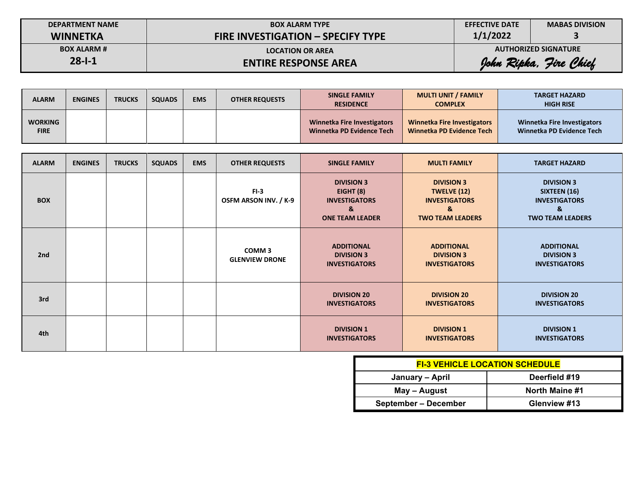| <b>DEPARTMENT NAME</b> | <b>BOX ALARM TYPE</b>                    | <b>EFFECTIVE DATE</b>  | <b>MABAS DIVISION</b>       |  |
|------------------------|------------------------------------------|------------------------|-----------------------------|--|
| <b>WINNETKA</b>        | <b>FIRE INVESTIGATION - SPECIFY TYPE</b> | 1/1/2022               |                             |  |
| <b>BOX ALARM #</b>     | <b>LOCATION OR AREA</b>                  |                        | <b>AUTHORIZED SIGNATURE</b> |  |
| $28 - 1 - 1$           | <b>ENTIRE RESPONSE AREA</b>              | John Ripka, Jire Chief |                             |  |

| <b>ALARM</b>                  | <b>ENGINES</b> | <b>TRUCKS</b> | <b>SQUADS</b> | <b>EMS</b> | <b>OTHER REQUESTS</b> | <b>SINGLE FAMILY</b><br><b>RESIDENCE</b>                        | <b>MULTI UNIT / FAMILY</b><br><b>COMPLEX</b>                    | <b>TARGET HAZARD</b><br><b>HIGH RISE</b>                        |
|-------------------------------|----------------|---------------|---------------|------------|-----------------------|-----------------------------------------------------------------|-----------------------------------------------------------------|-----------------------------------------------------------------|
| <b>WORKING</b><br><b>FIRE</b> |                |               |               |            |                       | <b>Winnetka Fire Investigators</b><br>Winnetka PD Evidence Tech | <b>Winnetka Fire Investigators</b><br>Winnetka PD Evidence Tech | <b>Winnetka Fire Investigators</b><br>Winnetka PD Evidence Tech |

| <b>ALARM</b> | <b>ENGINES</b> | <b>TRUCKS</b> | <b>SQUADS</b> | <b>EMS</b> | <b>OTHER REQUESTS</b>                      | <b>SINGLE FAMILY</b>                                                                  | <b>MULTI FAMILY</b>                                                                      | <b>TARGET HAZARD</b>                                                                      |
|--------------|----------------|---------------|---------------|------------|--------------------------------------------|---------------------------------------------------------------------------------------|------------------------------------------------------------------------------------------|-------------------------------------------------------------------------------------------|
| <b>BOX</b>   |                |               |               |            | $FI-3$<br>OSFM ARSON INV. / K-9            | <b>DIVISION 3</b><br>EIGHT (8)<br><b>INVESTIGATORS</b><br>&<br><b>ONE TEAM LEADER</b> | <b>DIVISION 3</b><br>TWELVE (12)<br><b>INVESTIGATORS</b><br>&<br><b>TWO TEAM LEADERS</b> | <b>DIVISION 3</b><br>SIXTEEN (16)<br><b>INVESTIGATORS</b><br>&<br><b>TWO TEAM LEADERS</b> |
| 2nd          |                |               |               |            | COMM <sub>3</sub><br><b>GLENVIEW DRONE</b> | <b>ADDITIONAL</b><br><b>DIVISION 3</b><br><b>INVESTIGATORS</b>                        | <b>ADDITIONAL</b><br><b>DIVISION 3</b><br><b>INVESTIGATORS</b>                           | <b>ADDITIONAL</b><br><b>DIVISION 3</b><br><b>INVESTIGATORS</b>                            |
| 3rd          |                |               |               |            |                                            | <b>DIVISION 20</b><br><b>INVESTIGATORS</b>                                            | <b>DIVISION 20</b><br><b>INVESTIGATORS</b>                                               | <b>DIVISION 20</b><br><b>INVESTIGATORS</b>                                                |
| 4th          |                |               |               |            |                                            | <b>DIVISION 1</b><br><b>INVESTIGATORS</b>                                             | <b>DIVISION 1</b><br><b>INVESTIGATORS</b>                                                | <b>DIVISION 1</b><br><b>INVESTIGATORS</b>                                                 |

| <b>FI-3 VEHICLE LOCATION SCHEDULE</b> |                |  |  |  |  |  |  |
|---------------------------------------|----------------|--|--|--|--|--|--|
| January – April                       | Deerfield #19  |  |  |  |  |  |  |
| May – August                          | North Maine #1 |  |  |  |  |  |  |
| September – December                  | Glenview #13   |  |  |  |  |  |  |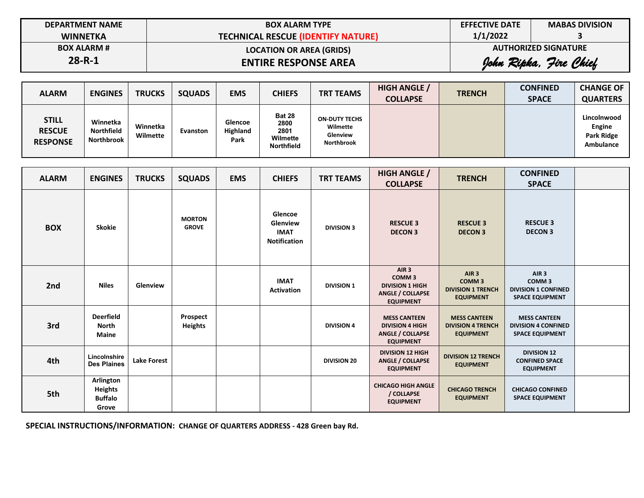| <b>DEPARTMENT NAME</b> | <b>BOX ALARM TYPE</b>                     | <b>EFFECTIVE DATE</b> | <b>MABAS DIVISION</b>  |  |
|------------------------|-------------------------------------------|-----------------------|------------------------|--|
| <b>WINNETKA</b>        | <b>TECHNICAL RESCUE (IDENTIFY NATURE)</b> | 1/1/2022              |                        |  |
| <b>BOX ALARM #</b>     | <b>LOCATION OR AREA (GRIDS)</b>           |                       |                        |  |
| $28 - R - 1$           | <b>ENTIRE RESPONSE AREA</b>               |                       | John Ripka, Jire Chief |  |

| <b>ALARM</b>                                     | <b>ENGINES</b>                       | <b>TRUCKS</b>        | <b>SQUADS</b>   | <b>EMS</b>                  | <b>CHIEFS</b>                                                  | <b>TRT TEAMS</b>                                                  | <b>HIGH ANGLE /</b><br><b>COLLAPSE</b> | <b>TRENCH</b> | <b>CONFINED</b><br><b>SPACE</b> | <b>CHANGE OF</b><br><b>QUARTERS</b>                     |
|--------------------------------------------------|--------------------------------------|----------------------|-----------------|-----------------------------|----------------------------------------------------------------|-------------------------------------------------------------------|----------------------------------------|---------------|---------------------------------|---------------------------------------------------------|
| <b>STILL</b><br><b>RESCUE</b><br><b>RESPONSE</b> | Winnetka<br>Northfield<br>Northbrook | Winnetka<br>Wilmette | <b>Evanston</b> | Glencoe<br>Highland<br>Park | <b>Bat 28</b><br>2800<br>2801<br>Wilmette<br><b>Northfield</b> | <b>ON-DUTY TECHS</b><br>Wilmette<br>Glenview<br><b>Northbrook</b> |                                        |               |                                 | Lincolnwood<br>Engine<br><b>Park Ridge</b><br>Ambulance |

| <b>ALARM</b> | <b>ENGINES</b>                                         | <b>TRUCKS</b>      | <b>SQUADS</b>                 | <b>EMS</b> | <b>CHIEFS</b>                                             | <b>TRT TEAMS</b>   | <b>HIGH ANGLE /</b><br><b>COLLAPSE</b>                                                                         | <b>TRENCH</b>                                                                         | <b>CONFINED</b><br><b>SPACE</b>                                                               |  |
|--------------|--------------------------------------------------------|--------------------|-------------------------------|------------|-----------------------------------------------------------|--------------------|----------------------------------------------------------------------------------------------------------------|---------------------------------------------------------------------------------------|-----------------------------------------------------------------------------------------------|--|
| <b>BOX</b>   | <b>Skokie</b>                                          |                    | <b>MORTON</b><br><b>GROVE</b> |            | Glencoe<br>Glenview<br><b>IMAT</b><br><b>Notification</b> | <b>DIVISION 3</b>  | <b>RESCUE 3</b><br><b>DECON 3</b>                                                                              | <b>RESCUE 3</b><br><b>DECON 3</b>                                                     | <b>RESCUE 3</b><br><b>DECON3</b>                                                              |  |
| 2nd          | <b>Niles</b>                                           | Glenview           |                               |            | <b>IMAT</b><br><b>Activation</b>                          | <b>DIVISION 1</b>  | AIR <sub>3</sub><br>COMM <sub>3</sub><br><b>DIVISION 1 HIGH</b><br><b>ANGLE / COLLAPSE</b><br><b>EQUIPMENT</b> | AIR <sub>3</sub><br>COMM <sub>3</sub><br><b>DIVISION 1 TRENCH</b><br><b>EQUIPMENT</b> | AIR <sub>3</sub><br>COMM <sub>3</sub><br><b>DIVISION 1 CONFINED</b><br><b>SPACE EQUIPMENT</b> |  |
| 3rd          | <b>Deerfield</b><br><b>North</b><br><b>Maine</b>       |                    | Prospect<br>Heights           |            |                                                           | <b>DIVISION 4</b>  | <b>MESS CANTEEN</b><br><b>DIVISION 4 HIGH</b><br><b>ANGLE / COLLAPSE</b><br><b>EQUIPMENT</b>                   | <b>MESS CANTEEN</b><br><b>DIVISION 4 TRENCH</b><br><b>EQUIPMENT</b>                   | <b>MESS CANTEEN</b><br><b>DIVISION 4 CONFINED</b><br><b>SPACE EQUIPMENT</b>                   |  |
| 4th          | Lincolnshire<br><b>Des Plaines</b>                     | <b>Lake Forest</b> |                               |            |                                                           | <b>DIVISION 20</b> | <b>DIVISION 12 HIGH</b><br><b>ANGLE / COLLAPSE</b><br><b>EQUIPMENT</b>                                         | <b>DIVISION 12 TRENCH</b><br><b>EQUIPMENT</b>                                         | <b>DIVISION 12</b><br><b>CONFINED SPACE</b><br><b>EQUIPMENT</b>                               |  |
| 5th          | Arlington<br><b>Heights</b><br><b>Buffalo</b><br>Grove |                    |                               |            |                                                           |                    | <b>CHICAGO HIGH ANGLE</b><br>/ COLLAPSE<br><b>EQUIPMENT</b>                                                    | <b>CHICAGO TRENCH</b><br><b>EQUIPMENT</b>                                             | <b>CHICAGO CONFINED</b><br><b>SPACE EQUIPMENT</b>                                             |  |

**SPECIAL INSTRUCTIONS/INFORMATION: CHANGE OF QUARTERS ADDRESS - 428 Green bay Rd.**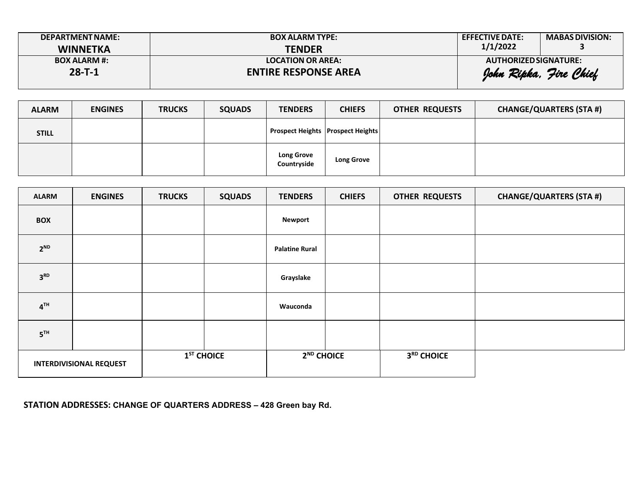| DEPARTMENT NAME:    | <b>BOX ALARM TYPE:</b>      | <b>EFFECTIVE DATE:</b> | <b>MABAS DIVISION:</b> |
|---------------------|-----------------------------|------------------------|------------------------|
| <b>WINNETKA</b>     | <b>TENDER</b>               | 1/1/2022               |                        |
| <b>BOX ALARM #:</b> | <b>LOCATION OR AREA:</b>    | AUTHORIZED SIGNATURE:  |                        |
| $28 - T - 1$        | <b>ENTIRE RESPONSE AREA</b> |                        | John Ripka, Jire Chief |

| <b>ALARM</b> | <b>ENGINES</b> | <b>TRUCKS</b> | <b>SQUADS</b> | <b>TENDERS</b>                               | <b>CHIEFS</b>     | <b>OTHER REQUESTS</b> | <b>CHANGE/QUARTERS (STA #)</b> |
|--------------|----------------|---------------|---------------|----------------------------------------------|-------------------|-----------------------|--------------------------------|
| <b>STILL</b> |                |               |               | <b>Prospect Heights   Prospect Heights  </b> |                   |                       |                                |
|              |                |               |               | <b>Long Grove</b><br>Countryside             | <b>Long Grove</b> |                       |                                |

| <b>ALARM</b>                   | <b>ENGINES</b> | <b>TRUCKS</b> | <b>SQUADS</b> | <b>TENDERS</b>         | <b>CHIEFS</b> | <b>OTHER REQUESTS</b> | <b>CHANGE/QUARTERS (STA #)</b> |
|--------------------------------|----------------|---------------|---------------|------------------------|---------------|-----------------------|--------------------------------|
| <b>BOX</b>                     |                |               |               | <b>Newport</b>         |               |                       |                                |
| $2^{ND}$                       |                |               |               | <b>Palatine Rural</b>  |               |                       |                                |
| 3 <sup>RD</sup>                |                |               |               | Grayslake              |               |                       |                                |
| 4 <sup>TH</sup>                |                |               |               | Wauconda               |               |                       |                                |
| 5 <sup>TH</sup>                |                |               |               |                        |               |                       |                                |
| <b>INTERDIVISIONAL REQUEST</b> |                | $1ST$ CHOICE  |               | 2 <sup>ND</sup> CHOICE |               | 3RD CHOICE            |                                |

## **STATION ADDRESSES: CHANGE OF QUARTERS ADDRESS – 428 Green bay Rd.**